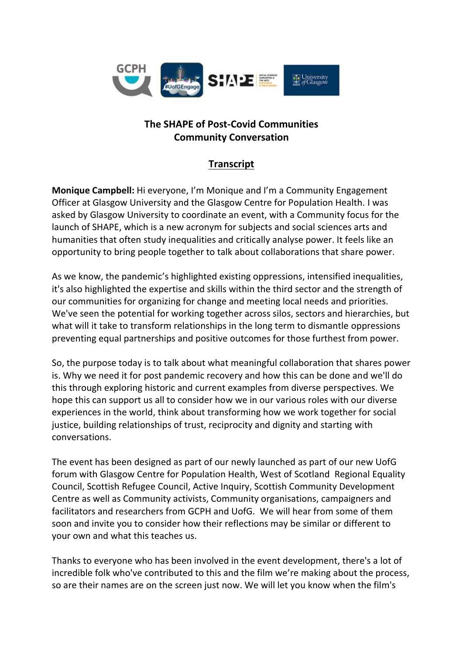

## **The SHAPE of Post-Covid Communities Community Conversation**

## **Transcript**

**Monique Campbell:** Hi everyone, I'm Monique and I'm a Community Engagement Officer at Glasgow University and the Glasgow Centre for Population Health. I was asked by Glasgow University to coordinate an event, with a Community focus for the launch of SHAPE, which is a new acronym for subjects and social sciences arts and humanities that often study inequalities and critically analyse power. It feels like an opportunity to bring people together to talk about collaborations that share power.

As we know, the pandemic's highlighted existing oppressions, intensified inequalities, it's also highlighted the expertise and skills within the third sector and the strength of our communities for organizing for change and meeting local needs and priorities. We've seen the potential for working together across silos, sectors and hierarchies, but what will it take to transform relationships in the long term to dismantle oppressions preventing equal partnerships and positive outcomes for those furthest from power.

So, the purpose today is to talk about what meaningful collaboration that shares power is. Why we need it for post pandemic recovery and how this can be done and we'll do this through exploring historic and current examples from diverse perspectives. We hope this can support us all to consider how we in our various roles with our diverse experiences in the world, think about transforming how we work together for social justice, building relationships of trust, reciprocity and dignity and starting with conversations.

The event has been designed as part of our newly launched as part of our new UofG forum with Glasgow Centre for Population Health, West of Scotland Regional Equality Council, Scottish Refugee Council, Active Inquiry, Scottish Community Development Centre as well as Community activists, Community organisations, campaigners and facilitators and researchers from GCPH and UofG. We will hear from some of them soon and invite you to consider how their reflections may be similar or different to your own and what this teaches us.

Thanks to everyone who has been involved in the event development, there's a lot of incredible folk who've contributed to this and the film we're making about the process, so are their names are on the screen just now. We will let you know when the film's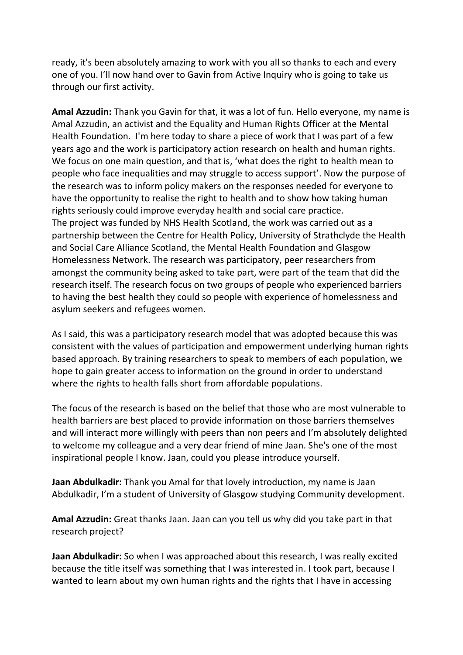ready, it's been absolutely amazing to work with you all so thanks to each and every one of you. I'll now hand over to Gavin from Active Inquiry who is going to take us through our first activity.

**Amal Azzudin:** Thank you Gavin for that, it was a lot of fun. Hello everyone, my name is Amal Azzudin, an activist and the Equality and Human Rights Officer at the Mental Health Foundation. I'm here today to share a piece of work that I was part of a few years ago and the work is participatory action research on health and human rights. We focus on one main question, and that is, 'what does the right to health mean to people who face inequalities and may struggle to access support'. Now the purpose of the research was to inform policy makers on the responses needed for everyone to have the opportunity to realise the right to health and to show how taking human rights seriously could improve everyday health and social care practice. The project was funded by NHS Health Scotland, the work was carried out as a partnership between the Centre for Health Policy, University of Strathclyde the Health and Social Care Alliance Scotland, the Mental Health Foundation and Glasgow Homelessness Network. The research was participatory, peer researchers from amongst the community being asked to take part, were part of the team that did the research itself. The research focus on two groups of people who experienced barriers to having the best health they could so people with experience of homelessness and asylum seekers and refugees women.

As I said, this was a participatory research model that was adopted because this was consistent with the values of participation and empowerment underlying human rights based approach. By training researchers to speak to members of each population, we hope to gain greater access to information on the ground in order to understand where the rights to health falls short from affordable populations.

The focus of the research is based on the belief that those who are most vulnerable to health barriers are best placed to provide information on those barriers themselves and will interact more willingly with peers than non peers and I'm absolutely delighted to welcome my colleague and a very dear friend of mine Jaan. She's one of the most inspirational people I know. Jaan, could you please introduce yourself.

**Jaan Abdulkadir:** Thank you Amal for that lovely introduction, my name is Jaan Abdulkadir, I'm a student of University of Glasgow studying Community development.

**Amal Azzudin:** Great thanks Jaan. Jaan can you tell us why did you take part in that research project?

**Jaan Abdulkadir:** So when I was approached about this research, I was really excited because the title itself was something that I was interested in. I took part, because I wanted to learn about my own human rights and the rights that I have in accessing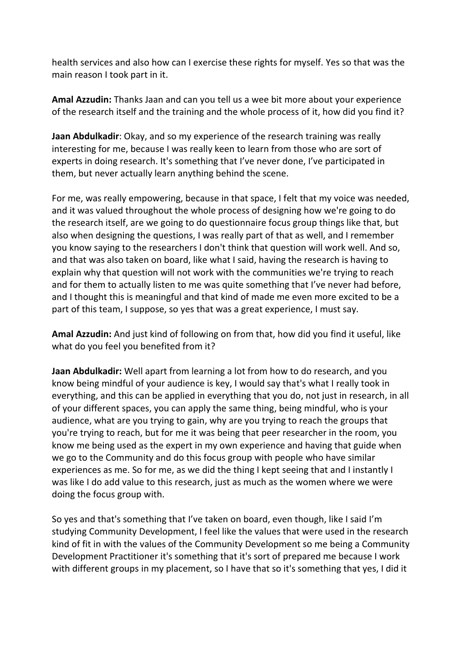health services and also how can I exercise these rights for myself. Yes so that was the main reason I took part in it.

**Amal Azzudin:** Thanks Jaan and can you tell us a wee bit more about your experience of the research itself and the training and the whole process of it, how did you find it?

**Jaan Abdulkadir**: Okay, and so my experience of the research training was really interesting for me, because I was really keen to learn from those who are sort of experts in doing research. It's something that I've never done, I've participated in them, but never actually learn anything behind the scene.

For me, was really empowering, because in that space, I felt that my voice was needed, and it was valued throughout the whole process of designing how we're going to do the research itself, are we going to do questionnaire focus group things like that, but also when designing the questions, I was really part of that as well, and I remember you know saying to the researchers I don't think that question will work well. And so, and that was also taken on board, like what I said, having the research is having to explain why that question will not work with the communities we're trying to reach and for them to actually listen to me was quite something that I've never had before, and I thought this is meaningful and that kind of made me even more excited to be a part of this team, I suppose, so yes that was a great experience, I must say.

**Amal Azzudin:** And just kind of following on from that, how did you find it useful, like what do you feel you benefited from it?

**Jaan Abdulkadir:** Well apart from learning a lot from how to do research, and you know being mindful of your audience is key, I would say that's what I really took in everything, and this can be applied in everything that you do, not just in research, in all of your different spaces, you can apply the same thing, being mindful, who is your audience, what are you trying to gain, why are you trying to reach the groups that you're trying to reach, but for me it was being that peer researcher in the room, you know me being used as the expert in my own experience and having that guide when we go to the Community and do this focus group with people who have similar experiences as me. So for me, as we did the thing I kept seeing that and I instantly I was like I do add value to this research, just as much as the women where we were doing the focus group with.

So yes and that's something that I've taken on board, even though, like I said I'm studying Community Development, I feel like the values that were used in the research kind of fit in with the values of the Community Development so me being a Community Development Practitioner it's something that it's sort of prepared me because I work with different groups in my placement, so I have that so it's something that yes, I did it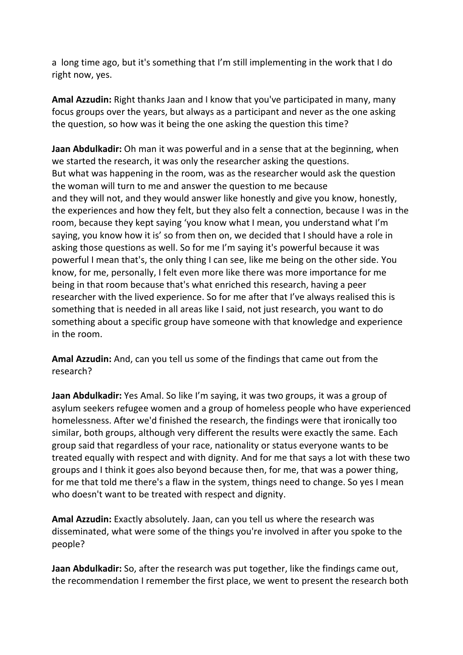a long time ago, but it's something that I'm still implementing in the work that I do right now, yes.

**Amal Azzudin:** Right thanks Jaan and I know that you've participated in many, many focus groups over the years, but always as a participant and never as the one asking the question, so how was it being the one asking the question this time?

**Jaan Abdulkadir:** Oh man it was powerful and in a sense that at the beginning, when we started the research, it was only the researcher asking the questions. But what was happening in the room, was as the researcher would ask the question the woman will turn to me and answer the question to me because and they will not, and they would answer like honestly and give you know, honestly, the experiences and how they felt, but they also felt a connection, because I was in the room, because they kept saying 'you know what I mean, you understand what I'm saying, you know how it is' so from then on, we decided that I should have a role in asking those questions as well. So for me I'm saying it's powerful because it was powerful I mean that's, the only thing I can see, like me being on the other side. You know, for me, personally, I felt even more like there was more importance for me being in that room because that's what enriched this research, having a peer researcher with the lived experience. So for me after that I've always realised this is something that is needed in all areas like I said, not just research, you want to do something about a specific group have someone with that knowledge and experience in the room.

**Amal Azzudin:** And, can you tell us some of the findings that came out from the research?

**Jaan Abdulkadir:** Yes Amal. So like I'm saying, it was two groups, it was a group of asylum seekers refugee women and a group of homeless people who have experienced homelessness. After we'd finished the research, the findings were that ironically too similar, both groups, although very different the results were exactly the same. Each group said that regardless of your race, nationality or status everyone wants to be treated equally with respect and with dignity. And for me that says a lot with these two groups and I think it goes also beyond because then, for me, that was a power thing, for me that told me there's a flaw in the system, things need to change. So yes I mean who doesn't want to be treated with respect and dignity.

**Amal Azzudin:** Exactly absolutely. Jaan, can you tell us where the research was disseminated, what were some of the things you're involved in after you spoke to the people?

**Jaan Abdulkadir:** So, after the research was put together, like the findings came out, the recommendation I remember the first place, we went to present the research both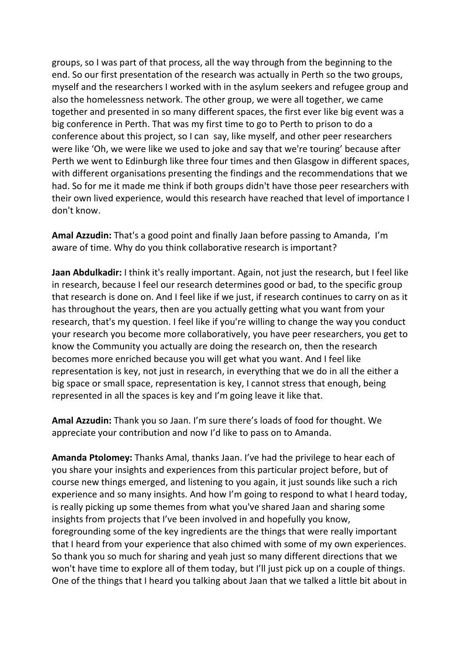groups, so I was part of that process, all the way through from the beginning to the end. So our first presentation of the research was actually in Perth so the two groups, myself and the researchers I worked with in the asylum seekers and refugee group and also the homelessness network. The other group, we were all together, we came together and presented in so many different spaces, the first ever like big event was a big conference in Perth. That was my first time to go to Perth to prison to do a conference about this project, so I can say, like myself, and other peer researchers were like 'Oh, we were like we used to joke and say that we're touring' because after Perth we went to Edinburgh like three four times and then Glasgow in different spaces, with different organisations presenting the findings and the recommendations that we had. So for me it made me think if both groups didn't have those peer researchers with their own lived experience, would this research have reached that level of importance I don't know.

**Amal Azzudin:** That's a good point and finally Jaan before passing to Amanda, I'm aware of time. Why do you think collaborative research is important?

**Jaan Abdulkadir:** I think it's really important. Again, not just the research, but I feel like in research, because I feel our research determines good or bad, to the specific group that research is done on. And I feel like if we just, if research continues to carry on as it has throughout the years, then are you actually getting what you want from your research, that's my question. I feel like if you're willing to change the way you conduct your research you become more collaboratively, you have peer researchers, you get to know the Community you actually are doing the research on, then the research becomes more enriched because you will get what you want. And I feel like representation is key, not just in research, in everything that we do in all the either a big space or small space, representation is key, I cannot stress that enough, being represented in all the spaces is key and I'm going leave it like that.

**Amal Azzudin:** Thank you so Jaan. I'm sure there's loads of food for thought. We appreciate your contribution and now I'd like to pass on to Amanda.

**Amanda Ptolomey:** Thanks Amal, thanks Jaan. I've had the privilege to hear each of you share your insights and experiences from this particular project before, but of course new things emerged, and listening to you again, it just sounds like such a rich experience and so many insights. And how I'm going to respond to what I heard today, is really picking up some themes from what you've shared Jaan and sharing some insights from projects that I've been involved in and hopefully you know, foregrounding some of the key ingredients are the things that were really important that I heard from your experience that also chimed with some of my own experiences. So thank you so much for sharing and yeah just so many different directions that we won't have time to explore all of them today, but I'll just pick up on a couple of things. One of the things that I heard you talking about Jaan that we talked a little bit about in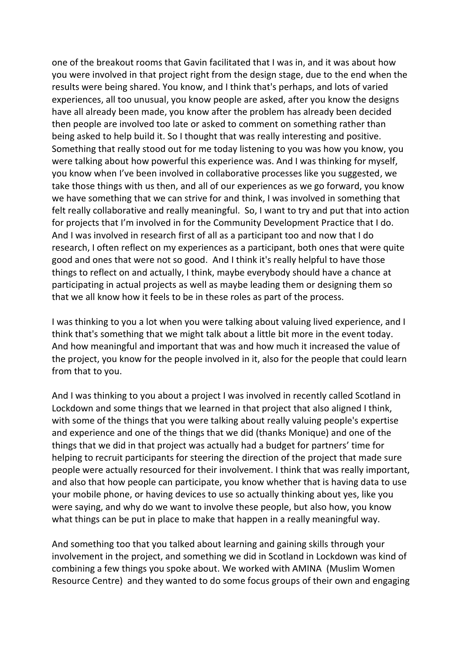one of the breakout rooms that Gavin facilitated that I was in, and it was about how you were involved in that project right from the design stage, due to the end when the results were being shared. You know, and I think that's perhaps, and lots of varied experiences, all too unusual, you know people are asked, after you know the designs have all already been made, you know after the problem has already been decided then people are involved too late or asked to comment on something rather than being asked to help build it. So I thought that was really interesting and positive. Something that really stood out for me today listening to you was how you know, you were talking about how powerful this experience was. And I was thinking for myself, you know when I've been involved in collaborative processes like you suggested, we take those things with us then, and all of our experiences as we go forward, you know we have something that we can strive for and think, I was involved in something that felt really collaborative and really meaningful. So, I want to try and put that into action for projects that I'm involved in for the Community Development Practice that I do. And I was involved in research first of all as a participant too and now that I do research, I often reflect on my experiences as a participant, both ones that were quite good and ones that were not so good. And I think it's really helpful to have those things to reflect on and actually, I think, maybe everybody should have a chance at participating in actual projects as well as maybe leading them or designing them so that we all know how it feels to be in these roles as part of the process.

I was thinking to you a lot when you were talking about valuing lived experience, and I think that's something that we might talk about a little bit more in the event today. And how meaningful and important that was and how much it increased the value of the project, you know for the people involved in it, also for the people that could learn from that to you.

And I was thinking to you about a project I was involved in recently called Scotland in Lockdown and some things that we learned in that project that also aligned I think, with some of the things that you were talking about really valuing people's expertise and experience and one of the things that we did (thanks Monique) and one of the things that we did in that project was actually had a budget for partners' time for helping to recruit participants for steering the direction of the project that made sure people were actually resourced for their involvement. I think that was really important, and also that how people can participate, you know whether that is having data to use your mobile phone, or having devices to use so actually thinking about yes, like you were saying, and why do we want to involve these people, but also how, you know what things can be put in place to make that happen in a really meaningful way.

And something too that you talked about learning and gaining skills through your involvement in the project, and something we did in Scotland in Lockdown was kind of combining a few things you spoke about. We worked with AMINA (Muslim Women Resource Centre) and they wanted to do some focus groups of their own and engaging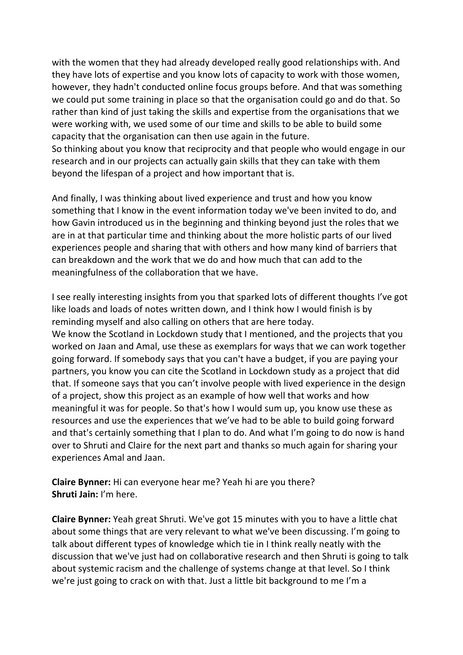with the women that they had already developed really good relationships with. And they have lots of expertise and you know lots of capacity to work with those women, however, they hadn't conducted online focus groups before. And that was something we could put some training in place so that the organisation could go and do that. So rather than kind of just taking the skills and expertise from the organisations that we were working with, we used some of our time and skills to be able to build some capacity that the organisation can then use again in the future. So thinking about you know that reciprocity and that people who would engage in our research and in our projects can actually gain skills that they can take with them beyond the lifespan of a project and how important that is.

And finally, I was thinking about lived experience and trust and how you know something that I know in the event information today we've been invited to do, and how Gavin introduced us in the beginning and thinking beyond just the roles that we are in at that particular time and thinking about the more holistic parts of our lived experiences people and sharing that with others and how many kind of barriers that can breakdown and the work that we do and how much that can add to the meaningfulness of the collaboration that we have.

I see really interesting insights from you that sparked lots of different thoughts I've got like loads and loads of notes written down, and I think how I would finish is by reminding myself and also calling on others that are here today.

We know the Scotland in Lockdown study that I mentioned, and the projects that you worked on Jaan and Amal, use these as exemplars for ways that we can work together going forward. If somebody says that you can't have a budget, if you are paying your partners, you know you can cite the Scotland in Lockdown study as a project that did that. If someone says that you can't involve people with lived experience in the design of a project, show this project as an example of how well that works and how meaningful it was for people. So that's how I would sum up, you know use these as resources and use the experiences that we've had to be able to build going forward and that's certainly something that I plan to do. And what I'm going to do now is hand over to Shruti and Claire for the next part and thanks so much again for sharing your experiences Amal and Jaan.

**Claire Bynner:** Hi can everyone hear me? Yeah hi are you there? **Shruti Jain:** I'm here.

**Claire Bynner:** Yeah great Shruti. We've got 15 minutes with you to have a little chat about some things that are very relevant to what we've been discussing. I'm going to talk about different types of knowledge which tie in I think really neatly with the discussion that we've just had on collaborative research and then Shruti is going to talk about systemic racism and the challenge of systems change at that level. So I think we're just going to crack on with that. Just a little bit background to me I'm a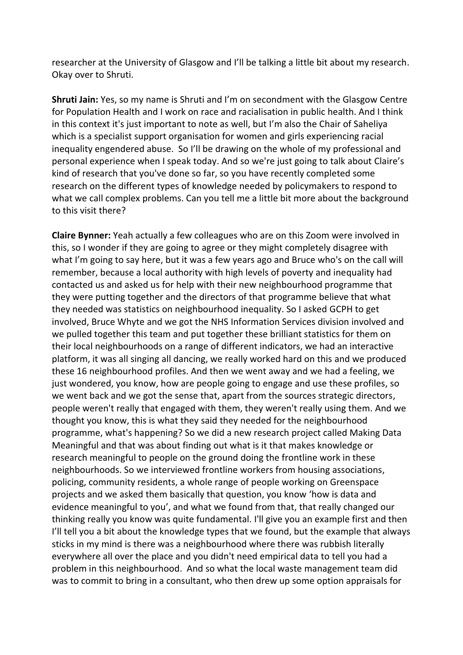researcher at the University of Glasgow and I'll be talking a little bit about my research. Okay over to Shruti.

**Shruti Jain:** Yes, so my name is Shruti and I'm on secondment with the Glasgow Centre for Population Health and I work on race and racialisation in public health. And I think in this context it's just important to note as well, but I'm also the Chair of Saheliya which is a specialist support organisation for women and girls experiencing racial inequality engendered abuse. So I'll be drawing on the whole of my professional and personal experience when I speak today. And so we're just going to talk about Claire's kind of research that you've done so far, so you have recently completed some research on the different types of knowledge needed by policymakers to respond to what we call complex problems. Can you tell me a little bit more about the background to this visit there?

**Claire Bynner:** Yeah actually a few colleagues who are on this Zoom were involved in this, so I wonder if they are going to agree or they might completely disagree with what I'm going to say here, but it was a few years ago and Bruce who's on the call will remember, because a local authority with high levels of poverty and inequality had contacted us and asked us for help with their new neighbourhood programme that they were putting together and the directors of that programme believe that what they needed was statistics on neighbourhood inequality. So I asked GCPH to get involved, Bruce Whyte and we got the NHS Information Services division involved and we pulled together this team and put together these brilliant statistics for them on their local neighbourhoods on a range of different indicators, we had an interactive platform, it was all singing all dancing, we really worked hard on this and we produced these 16 neighbourhood profiles. And then we went away and we had a feeling, we just wondered, you know, how are people going to engage and use these profiles, so we went back and we got the sense that, apart from the sources strategic directors, people weren't really that engaged with them, they weren't really using them. And we thought you know, this is what they said they needed for the neighbourhood programme, what's happening? So we did a new research project called Making Data Meaningful and that was about finding out what is it that makes knowledge or research meaningful to people on the ground doing the frontline work in these neighbourhoods. So we interviewed frontline workers from housing associations, policing, community residents, a whole range of people working on Greenspace projects and we asked them basically that question, you know 'how is data and evidence meaningful to you', and what we found from that, that really changed our thinking really you know was quite fundamental. I'll give you an example first and then I'll tell you a bit about the knowledge types that we found, but the example that always sticks in my mind is there was a neighbourhood where there was rubbish literally everywhere all over the place and you didn't need empirical data to tell you had a problem in this neighbourhood. And so what the local waste management team did was to commit to bring in a consultant, who then drew up some option appraisals for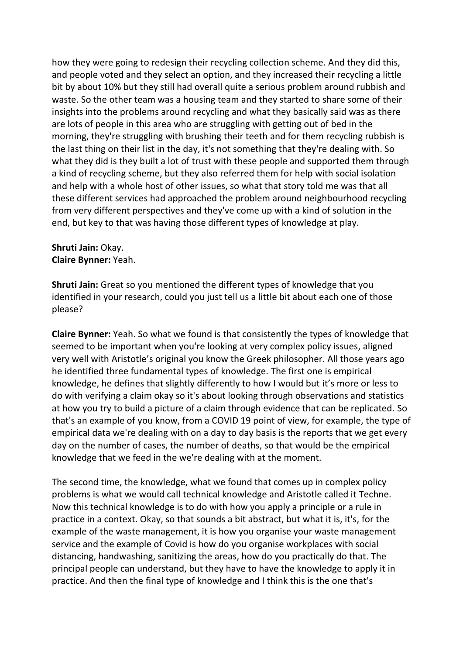how they were going to redesign their recycling collection scheme. And they did this, and people voted and they select an option, and they increased their recycling a little bit by about 10% but they still had overall quite a serious problem around rubbish and waste. So the other team was a housing team and they started to share some of their insights into the problems around recycling and what they basically said was as there are lots of people in this area who are struggling with getting out of bed in the morning, they're struggling with brushing their teeth and for them recycling rubbish is the last thing on their list in the day, it's not something that they're dealing with. So what they did is they built a lot of trust with these people and supported them through a kind of recycling scheme, but they also referred them for help with social isolation and help with a whole host of other issues, so what that story told me was that all these different services had approached the problem around neighbourhood recycling from very different perspectives and they've come up with a kind of solution in the end, but key to that was having those different types of knowledge at play.

## **Shruti Jain:** Okay. **Claire Bynner:** Yeah.

**Shruti Jain:** Great so you mentioned the different types of knowledge that you identified in your research, could you just tell us a little bit about each one of those please?

**Claire Bynner:** Yeah. So what we found is that consistently the types of knowledge that seemed to be important when you're looking at very complex policy issues, aligned very well with Aristotle's original you know the Greek philosopher. All those years ago he identified three fundamental types of knowledge. The first one is empirical knowledge, he defines that slightly differently to how I would but it's more or less to do with verifying a claim okay so it's about looking through observations and statistics at how you try to build a picture of a claim through evidence that can be replicated. So that's an example of you know, from a COVID 19 point of view, for example, the type of empirical data we're dealing with on a day to day basis is the reports that we get every day on the number of cases, the number of deaths, so that would be the empirical knowledge that we feed in the we're dealing with at the moment.

The second time, the knowledge, what we found that comes up in complex policy problems is what we would call technical knowledge and Aristotle called it Techne. Now this technical knowledge is to do with how you apply a principle or a rule in practice in a context. Okay, so that sounds a bit abstract, but what it is, it's, for the example of the waste management, it is how you organise your waste management service and the example of Covid is how do you organise workplaces with social distancing, handwashing, sanitizing the areas, how do you practically do that. The principal people can understand, but they have to have the knowledge to apply it in practice. And then the final type of knowledge and I think this is the one that's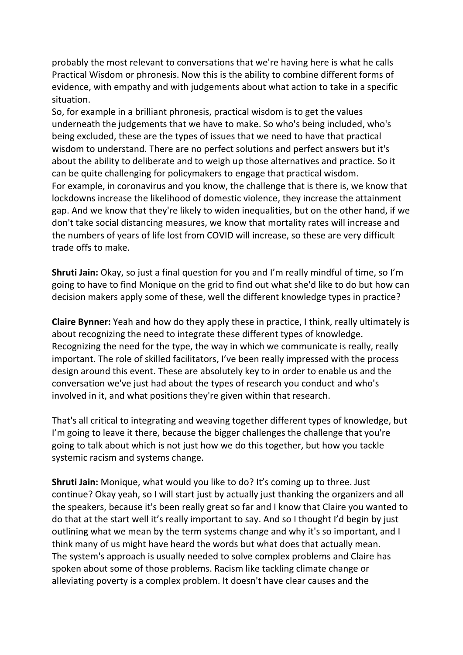probably the most relevant to conversations that we're having here is what he calls Practical Wisdom or phronesis. Now this is the ability to combine different forms of evidence, with empathy and with judgements about what action to take in a specific situation.

So, for example in a brilliant phronesis, practical wisdom is to get the values underneath the judgements that we have to make. So who's being included, who's being excluded, these are the types of issues that we need to have that practical wisdom to understand. There are no perfect solutions and perfect answers but it's about the ability to deliberate and to weigh up those alternatives and practice. So it can be quite challenging for policymakers to engage that practical wisdom. For example, in coronavirus and you know, the challenge that is there is, we know that lockdowns increase the likelihood of domestic violence, they increase the attainment gap. And we know that they're likely to widen inequalities, but on the other hand, if we don't take social distancing measures, we know that mortality rates will increase and the numbers of years of life lost from COVID will increase, so these are very difficult trade offs to make.

**Shruti Jain:** Okay, so just a final question for you and I'm really mindful of time, so I'm going to have to find Monique on the grid to find out what she'd like to do but how can decision makers apply some of these, well the different knowledge types in practice?

**Claire Bynner:** Yeah and how do they apply these in practice, I think, really ultimately is about recognizing the need to integrate these different types of knowledge. Recognizing the need for the type, the way in which we communicate is really, really important. The role of skilled facilitators, I've been really impressed with the process design around this event. These are absolutely key to in order to enable us and the conversation we've just had about the types of research you conduct and who's involved in it, and what positions they're given within that research.

That's all critical to integrating and weaving together different types of knowledge, but I'm going to leave it there, because the bigger challenges the challenge that you're going to talk about which is not just how we do this together, but how you tackle systemic racism and systems change.

**Shruti Jain:** Monique, what would you like to do? It's coming up to three. Just continue? Okay yeah, so I will start just by actually just thanking the organizers and all the speakers, because it's been really great so far and I know that Claire you wanted to do that at the start well it's really important to say. And so I thought I'd begin by just outlining what we mean by the term systems change and why it's so important, and I think many of us might have heard the words but what does that actually mean. The system's approach is usually needed to solve complex problems and Claire has spoken about some of those problems. Racism like tackling climate change or alleviating poverty is a complex problem. It doesn't have clear causes and the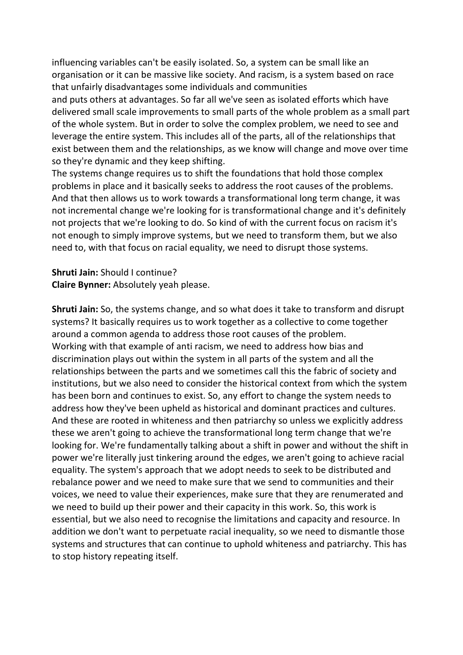influencing variables can't be easily isolated. So, a system can be small like an organisation or it can be massive like society. And racism, is a system based on race that unfairly disadvantages some individuals and communities

and puts others at advantages. So far all we've seen as isolated efforts which have delivered small scale improvements to small parts of the whole problem as a small part of the whole system. But in order to solve the complex problem, we need to see and leverage the entire system. This includes all of the parts, all of the relationships that exist between them and the relationships, as we know will change and move over time so they're dynamic and they keep shifting.

The systems change requires us to shift the foundations that hold those complex problems in place and it basically seeks to address the root causes of the problems. And that then allows us to work towards a transformational long term change, it was not incremental change we're looking for is transformational change and it's definitely not projects that we're looking to do. So kind of with the current focus on racism it's not enough to simply improve systems, but we need to transform them, but we also need to, with that focus on racial equality, we need to disrupt those systems.

**Shruti Jain:** Should I continue? **Claire Bynner:** Absolutely yeah please.

**Shruti Jain:** So, the systems change, and so what does it take to transform and disrupt systems? It basically requires us to work together as a collective to come together around a common agenda to address those root causes of the problem. Working with that example of anti racism, we need to address how bias and discrimination plays out within the system in all parts of the system and all the relationships between the parts and we sometimes call this the fabric of society and institutions, but we also need to consider the historical context from which the system has been born and continues to exist. So, any effort to change the system needs to address how they've been upheld as historical and dominant practices and cultures. And these are rooted in whiteness and then patriarchy so unless we explicitly address these we aren't going to achieve the transformational long term change that we're looking for. We're fundamentally talking about a shift in power and without the shift in power we're literally just tinkering around the edges, we aren't going to achieve racial equality. The system's approach that we adopt needs to seek to be distributed and rebalance power and we need to make sure that we send to communities and their voices, we need to value their experiences, make sure that they are renumerated and we need to build up their power and their capacity in this work. So, this work is essential, but we also need to recognise the limitations and capacity and resource. In addition we don't want to perpetuate racial inequality, so we need to dismantle those systems and structures that can continue to uphold whiteness and patriarchy. This has to stop history repeating itself.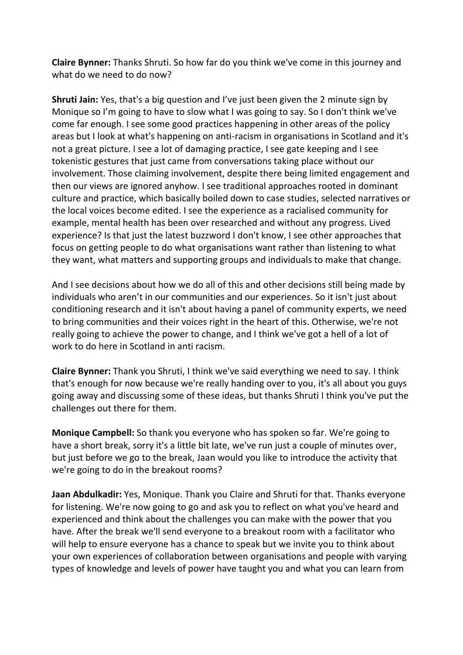**Claire Bynner:** Thanks Shruti. So how far do you think we've come in this journey and what do we need to do now?

**Shruti Jain:** Yes, that's a big question and I've just been given the 2 minute sign by Monique so I'm going to have to slow what I was going to say. So I don't think we've come far enough. I see some good practices happening in other areas of the policy areas but I look at what's happening on anti-racism in organisations in Scotland and it's not a great picture. I see a lot of damaging practice, I see gate keeping and I see tokenistic gestures that just came from conversations taking place without our involvement. Those claiming involvement, despite there being limited engagement and then our views are ignored anyhow. I see traditional approaches rooted in dominant culture and practice, which basically boiled down to case studies, selected narratives or the local voices become edited. I see the experience as a racialised community for example, mental health has been over researched and without any progress. Lived experience? Is that just the latest buzzword I don't know, I see other approaches that focus on getting people to do what organisations want rather than listening to what they want, what matters and supporting groups and individuals to make that change.

And I see decisions about how we do all of this and other decisions still being made by individuals who aren't in our communities and our experiences. So it isn't just about conditioning research and it isn't about having a panel of community experts, we need to bring communities and their voices right in the heart of this. Otherwise, we're not really going to achieve the power to change, and I think we've got a hell of a lot of work to do here in Scotland in anti racism.

**Claire Bynner:** Thank you Shruti, I think we've said everything we need to say. I think that's enough for now because we're really handing over to you, it's all about you guys going away and discussing some of these ideas, but thanks Shruti I think you've put the challenges out there for them.

**Monique Campbell:** So thank you everyone who has spoken so far. We're going to have a short break, sorry it's a little bit late, we've run just a couple of minutes over, but just before we go to the break, Jaan would you like to introduce the activity that we're going to do in the breakout rooms?

**Jaan Abdulkadir:** Yes, Monique. Thank you Claire and Shruti for that. Thanks everyone for listening. We're now going to go and ask you to reflect on what you've heard and experienced and think about the challenges you can make with the power that you have. After the break we'll send everyone to a breakout room with a facilitator who will help to ensure everyone has a chance to speak but we invite you to think about your own experiences of collaboration between organisations and people with varying types of knowledge and levels of power have taught you and what you can learn from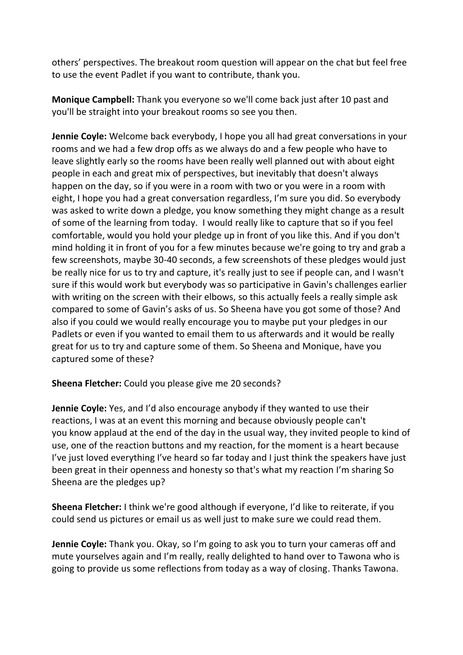others' perspectives. The breakout room question will appear on the chat but feel free to use the event Padlet if you want to contribute, thank you.

**Monique Campbell:** Thank you everyone so we'll come back just after 10 past and you'll be straight into your breakout rooms so see you then.

**Jennie Coyle:** Welcome back everybody, I hope you all had great conversations in your rooms and we had a few drop offs as we always do and a few people who have to leave slightly early so the rooms have been really well planned out with about eight people in each and great mix of perspectives, but inevitably that doesn't always happen on the day, so if you were in a room with two or you were in a room with eight, I hope you had a great conversation regardless, I'm sure you did. So everybody was asked to write down a pledge, you know something they might change as a result of some of the learning from today. I would really like to capture that so if you feel comfortable, would you hold your pledge up in front of you like this. And if you don't mind holding it in front of you for a few minutes because we're going to try and grab a few screenshots, maybe 30-40 seconds, a few screenshots of these pledges would just be really nice for us to try and capture, it's really just to see if people can, and I wasn't sure if this would work but everybody was so participative in Gavin's challenges earlier with writing on the screen with their elbows, so this actually feels a really simple ask compared to some of Gavin's asks of us. So Sheena have you got some of those? And also if you could we would really encourage you to maybe put your pledges in our Padlets or even if you wanted to email them to us afterwards and it would be really great for us to try and capture some of them. So Sheena and Monique, have you captured some of these?

**Sheena Fletcher:** Could you please give me 20 seconds?

**Jennie Coyle:** Yes, and I'd also encourage anybody if they wanted to use their reactions, I was at an event this morning and because obviously people can't you know applaud at the end of the day in the usual way, they invited people to kind of use, one of the reaction buttons and my reaction, for the moment is a heart because I've just loved everything I've heard so far today and I just think the speakers have just been great in their openness and honesty so that's what my reaction I'm sharing So Sheena are the pledges up?

**Sheena Fletcher:** I think we're good although if everyone, I'd like to reiterate, if you could send us pictures or email us as well just to make sure we could read them.

**Jennie Coyle:** Thank you. Okay, so I'm going to ask you to turn your cameras off and mute yourselves again and I'm really, really delighted to hand over to Tawona who is going to provide us some reflections from today as a way of closing. Thanks Tawona.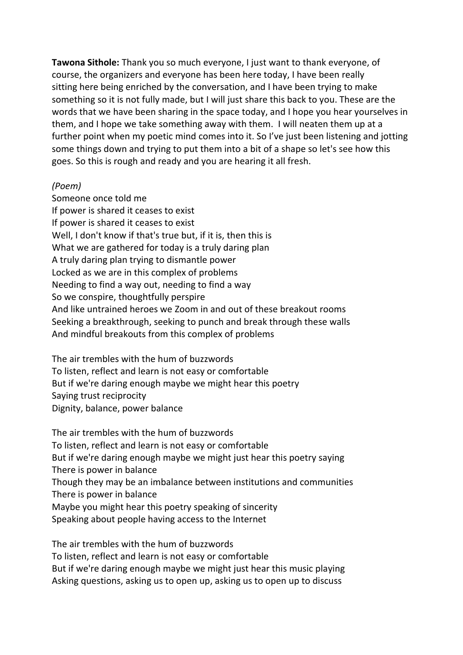**Tawona Sithole:** Thank you so much everyone, I just want to thank everyone, of course, the organizers and everyone has been here today, I have been really sitting here being enriched by the conversation, and I have been trying to make something so it is not fully made, but I will just share this back to you. These are the words that we have been sharing in the space today, and I hope you hear yourselves in them, and I hope we take something away with them. I will neaten them up at a further point when my poetic mind comes into it. So I've just been listening and jotting some things down and trying to put them into a bit of a shape so let's see how this goes. So this is rough and ready and you are hearing it all fresh.

## *(Poem)*

Someone once told me If power is shared it ceases to exist If power is shared it ceases to exist Well, I don't know if that's true but, if it is, then this is What we are gathered for today is a truly daring plan A truly daring plan trying to dismantle power Locked as we are in this complex of problems Needing to find a way out, needing to find a way So we conspire, thoughtfully perspire And like untrained heroes we Zoom in and out of these breakout rooms Seeking a breakthrough, seeking to punch and break through these walls And mindful breakouts from this complex of problems

The air trembles with the hum of buzzwords To listen, reflect and learn is not easy or comfortable But if we're daring enough maybe we might hear this poetry Saying trust reciprocity Dignity, balance, power balance

The air trembles with the hum of buzzwords To listen, reflect and learn is not easy or comfortable But if we're daring enough maybe we might just hear this poetry saying There is power in balance Though they may be an imbalance between institutions and communities There is power in balance Maybe you might hear this poetry speaking of sincerity Speaking about people having access to the Internet

The air trembles with the hum of buzzwords To listen, reflect and learn is not easy or comfortable But if we're daring enough maybe we might just hear this music playing Asking questions, asking us to open up, asking us to open up to discuss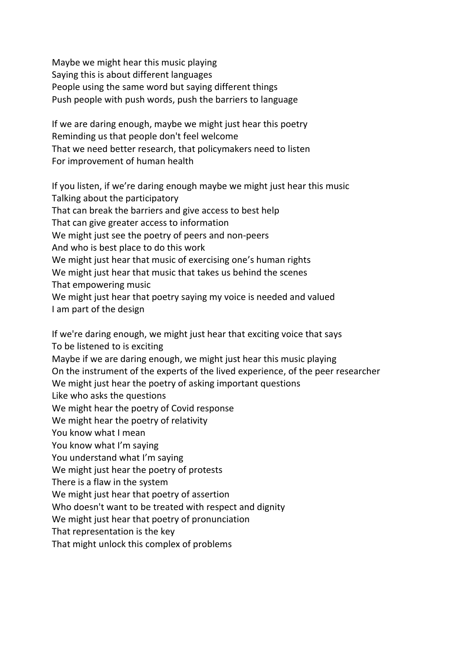Maybe we might hear this music playing Saying this is about different languages People using the same word but saying different things Push people with push words, push the barriers to language

If we are daring enough, maybe we might just hear this poetry Reminding us that people don't feel welcome That we need better research, that policymakers need to listen For improvement of human health

If you listen, if we're daring enough maybe we might just hear this music Talking about the participatory That can break the barriers and give access to best help That can give greater access to information We might just see the poetry of peers and non-peers And who is best place to do this work We might just hear that music of exercising one's human rights We might just hear that music that takes us behind the scenes That empowering music We might just hear that poetry saying my voice is needed and valued I am part of the design

If we're daring enough, we might just hear that exciting voice that says To be listened to is exciting Maybe if we are daring enough, we might just hear this music playing On the instrument of the experts of the lived experience, of the peer researcher We might just hear the poetry of asking important questions Like who asks the questions We might hear the poetry of Covid response We might hear the poetry of relativity You know what I mean You know what I'm saying You understand what I'm saying We might just hear the poetry of protests There is a flaw in the system We might just hear that poetry of assertion Who doesn't want to be treated with respect and dignity We might just hear that poetry of pronunciation That representation is the key That might unlock this complex of problems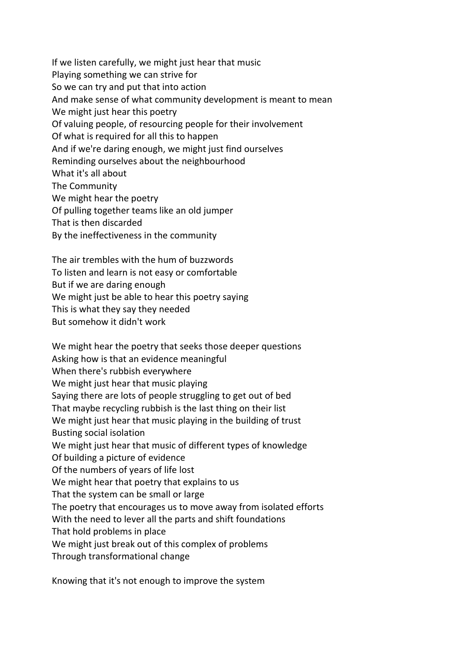If we listen carefully, we might just hear that music Playing something we can strive for So we can try and put that into action And make sense of what community development is meant to mean We might just hear this poetry Of valuing people, of resourcing people for their involvement Of what is required for all this to happen And if we're daring enough, we might just find ourselves Reminding ourselves about the neighbourhood What it's all about The Community We might hear the poetry Of pulling together teams like an old jumper That is then discarded By the ineffectiveness in the community

The air trembles with the hum of buzzwords To listen and learn is not easy or comfortable But if we are daring enough We might just be able to hear this poetry saying This is what they say they needed But somehow it didn't work

We might hear the poetry that seeks those deeper questions Asking how is that an evidence meaningful When there's rubbish everywhere We might just hear that music playing Saying there are lots of people struggling to get out of bed That maybe recycling rubbish is the last thing on their list We might just hear that music playing in the building of trust Busting social isolation We might just hear that music of different types of knowledge Of building a picture of evidence Of the numbers of years of life lost We might hear that poetry that explains to us That the system can be small or large The poetry that encourages us to move away from isolated efforts With the need to lever all the parts and shift foundations That hold problems in place We might just break out of this complex of problems Through transformational change

Knowing that it's not enough to improve the system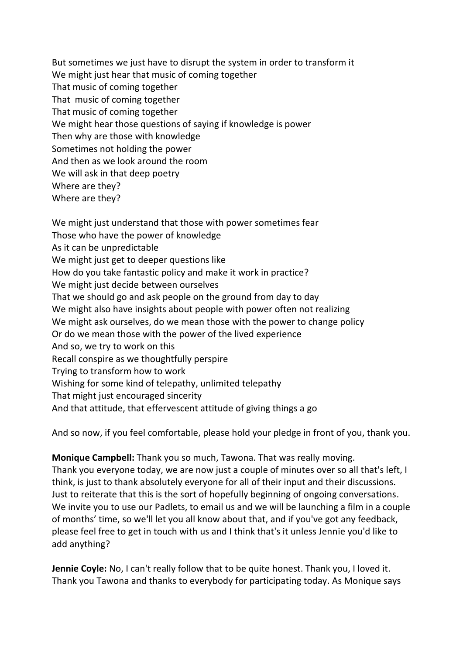But sometimes we just have to disrupt the system in order to transform it We might just hear that music of coming together That music of coming together That music of coming together That music of coming together We might hear those questions of saying if knowledge is power Then why are those with knowledge Sometimes not holding the power And then as we look around the room We will ask in that deep poetry Where are they? Where are they?

We might just understand that those with power sometimes fear Those who have the power of knowledge As it can be unpredictable We might just get to deeper questions like How do you take fantastic policy and make it work in practice? We might just decide between ourselves That we should go and ask people on the ground from day to day We might also have insights about people with power often not realizing We might ask ourselves, do we mean those with the power to change policy Or do we mean those with the power of the lived experience And so, we try to work on this Recall conspire as we thoughtfully perspire Trying to transform how to work Wishing for some kind of telepathy, unlimited telepathy That might just encouraged sincerity And that attitude, that effervescent attitude of giving things a go

And so now, if you feel comfortable, please hold your pledge in front of you, thank you.

**Monique Campbell:** Thank you so much, Tawona. That was really moving. Thank you everyone today, we are now just a couple of minutes over so all that's left, I think, is just to thank absolutely everyone for all of their input and their discussions. Just to reiterate that this is the sort of hopefully beginning of ongoing conversations. We invite you to use our Padlets, to email us and we will be launching a film in a couple of months' time, so we'll let you all know about that, and if you've got any feedback, please feel free to get in touch with us and I think that's it unless Jennie you'd like to add anything?

**Jennie Coyle:** No, I can't really follow that to be quite honest. Thank you, I loved it. Thank you Tawona and thanks to everybody for participating today. As Monique says